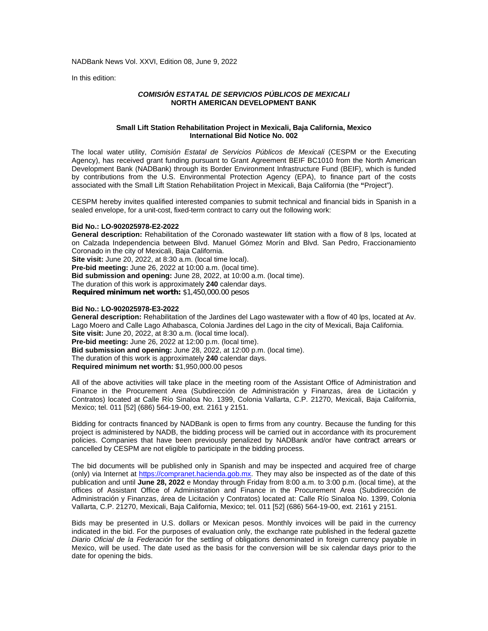In this edition:

## *COMISIÓN ESTATAL DE SERVICIOS PÚBLICOS DE MEXICALI* **NORTH AMERICAN DEVELOPMENT BANK**

#### **Small Lift Station Rehabilitation Project in Mexicali, Baja California, Mexico International Bid Notice No. 002**

The local water utility, *Comisión Estatal de Servicios Públicos de Mexicali* (CESPM or the Executing Agency), has received grant funding pursuant to Grant Agreement BEIF BC1010 from the North American Development Bank (NADBank) through its Border Environment Infrastructure Fund (BEIF), which is funded by contributions from the U.S. Environmental Protection Agency (EPA), to finance part of the costs associated with the Small Lift Station Rehabilitation Project in Mexicali, Baja California (the **"**Project").

CESPM hereby invites qualified interested companies to submit technical and financial bids in Spanish in a sealed envelope, for a unit-cost, fixed-term contract to carry out the following work:

# **Bid No.: LO-902025978-E2-2022**

**General description:** Rehabilitation of the Coronado wastewater lift station with a flow of 8 lps, located at on Calzada Independencia between Blvd. Manuel Gómez Morín and Blvd. San Pedro, Fraccionamiento Coronado in the city of Mexicali, Baja California. **Site visit:** June 20, 2022, at 8:30 a.m. (local time local).

**Pre-bid meeting:** June 26, 2022 at 10:00 a.m. (local time).

**Bid submission and opening:** June 28, 2022, at 10:00 a.m. (local time). The duration of this work is approximately **240** calendar days.

**Required minimum net worth:** \$1,450,000.00 pesos

## **Bid No.: LO-902025978-E3-2022**

**General description:** Rehabilitation of the Jardines del Lago wastewater with a flow of 40 lps, located at Av. Lago Moero and Calle Lago Athabasca, Colonia Jardines del Lago in the city of Mexicali, Baja California. **Site visit:** June 20, 2022, at 8:30 a.m. (local time local). **Pre-bid meeting:** June 26, 2022 at 12:00 p.m. (local time). **Bid submission and opening:** June 28, 2022, at 12:00 p.m. (local time). The duration of this work is approximately **240** calendar days. **Required minimum net worth:** \$1,950,000.00 pesos

All of the above activities will take place in the meeting room of the Assistant Office of Administration and Finance in the Procurement Area (Subdirección de Administración y Finanzas, área de Licitación y Contratos) located at Calle Río Sinaloa No. 1399, Colonia Vallarta, C.P. 21270, Mexicali, Baja California, Mexico; tel. 011 [52] (686) 564-19-00, ext. 2161 y 2151.

Bidding for contracts financed by NADBank is open to firms from any country. Because the funding for this project is administered by NADB, the bidding process will be carried out in accordance with its procurement policies. Companies that have been previously penalized by NADBank and/or have contract arrears or cancelled by CESPM are not eligible to participate in the bidding process.

The bid documents will be published only in Spanish and may be inspected and acquired free of charge (only) via Internet at [https://compranet.hacienda.gob.mx.](https://compranet.hacienda.gob.mx/) They may also be inspected as of the date of this publication and until **June 28, 2022** e Monday through Friday from 8:00 a.m. to 3:00 p.m. (local time), at the offices of Assistant Office of Administration and Finance in the Procurement Area (Subdirección de Administración y Finanzas, área de Licitación y Contratos) located at: Calle Río Sinaloa No. 1399, Colonia Vallarta, C.P. 21270, Mexicali, Baja California, Mexico; tel. 011 [52] (686) 564-19-00, ext. 2161 y 2151.

Bids may be presented in U.S. dollars or Mexican pesos. Monthly invoices will be paid in the currency indicated in the bid. For the purposes of evaluation only, the exchange rate published in the federal gazette *Diario Oficial de la Federación* for the settling of obligations denominated in foreign currency payable in Mexico, will be used. The date used as the basis for the conversion will be six calendar days prior to the date for opening the bids.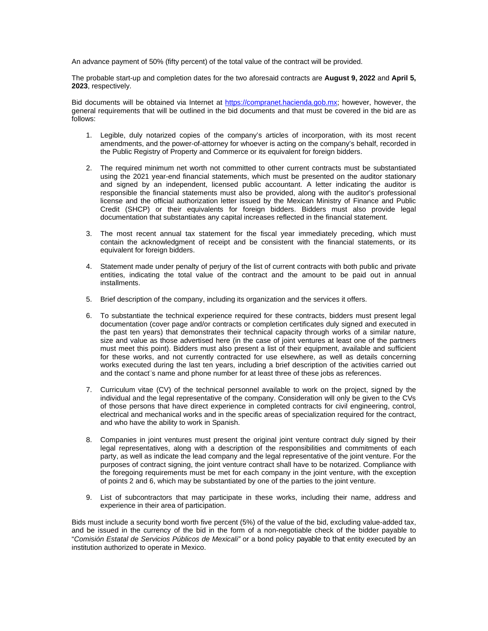An advance payment of 50% (fifty percent) of the total value of the contract will be provided.

The probable start-up and completion dates for the two aforesaid contracts are **August 9, 2022** and **April 5, 2023**, respectively.

Bid documents will be obtained via Internet at [https://compranet.hacienda.gob.mx;](https://compranet.hacienda.gob.mxs/) however, however, the general requirements that will be outlined in the bid documents and that must be covered in the bid are as follows:

- 1. Legible, duly notarized copies of the company's articles of incorporation, with its most recent amendments, and the power-of-attorney for whoever is acting on the company's behalf, recorded in the Public Registry of Property and Commerce or its equivalent for foreign bidders.
- 2. The required minimum net worth not committed to other current contracts must be substantiated using the 2021 year-end financial statements, which must be presented on the auditor stationary and signed by an independent, licensed public accountant. A letter indicating the auditor is responsible the financial statements must also be provided, along with the auditor's professional license and the official authorization letter issued by the Mexican Ministry of Finance and Public Credit (SHCP) or their equivalents for foreign bidders. Bidders must also provide legal documentation that substantiates any capital increases reflected in the financial statement.
- 3. The most recent annual tax statement for the fiscal year immediately preceding, which must contain the acknowledgment of receipt and be consistent with the financial statements, or its equivalent for foreign bidders.
- 4. Statement made under penalty of perjury of the list of current contracts with both public and private entities, indicating the total value of the contract and the amount to be paid out in annual installments.
- 5. Brief description of the company, including its organization and the services it offers.
- 6. To substantiate the technical experience required for these contracts, bidders must present legal documentation (cover page and/or contracts or completion certificates duly signed and executed in the past ten years) that demonstrates their technical capacity through works of a similar nature, size and value as those advertised here (in the case of joint ventures at least one of the partners must meet this point). Bidders must also present a list of their equipment, available and sufficient for these works, and not currently contracted for use elsewhere, as well as details concerning works executed during the last ten years, including a brief description of the activities carried out and the contact¨s name and phone number for at least three of these jobs as references.
- 7. Curriculum vitae (CV) of the technical personnel available to work on the project, signed by the individual and the legal representative of the company. Consideration will only be given to the CVs of those persons that have direct experience in completed contracts for civil engineering, control, electrical and mechanical works and in the specific areas of specialization required for the contract, and who have the ability to work in Spanish.
- 8. Companies in joint ventures must present the original joint venture contract duly signed by their legal representatives, along with a description of the responsibilities and commitments of each party, as well as indicate the lead company and the legal representative of the joint venture. For the purposes of contract signing, the joint venture contract shall have to be notarized. Compliance with the foregoing requirements must be met for each company in the joint venture, with the exception of points 2 and 6, which may be substantiated by one of the parties to the joint venture.
- 9. List of subcontractors that may participate in these works, including their name, address and experience in their area of participation.

Bids must include a security bond worth five percent (5%) of the value of the bid, excluding value-added tax, and be issued in the currency of the bid in the form of a non-negotiable check of the bidder payable to "*Comisión Estatal de Servicios Públicos de Mexicali"* or a bond policy payable to that entity executed by an institution authorized to operate in Mexico.